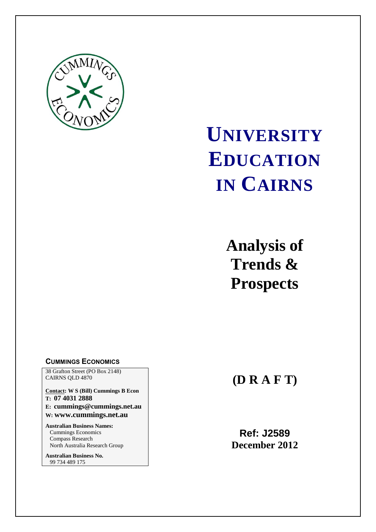

# **UNIVERSITY EDUCATION IN CAIRNS**

**Analysis of Trends & Prospects**

#### **CUMMINGS ECONOMICS**

38 Grafton Street (PO Box 2148) CAIRNS QLD 4870

**Contact: W S (Bill) Cummings B Econ T: 07 4031 2888**

**E: [cummings@cummings.net.au](mailto:cummings@cummings.net.au) W: [www.cummings.net.au](http://www.cummings.net.au/)**

**Australian Business Names:** Cummings Economics Compass Research North Australia Research Group

**Australian Business No.** 99 734 489 175

# **(D R A F T)**

**Ref: J2589 December 2012**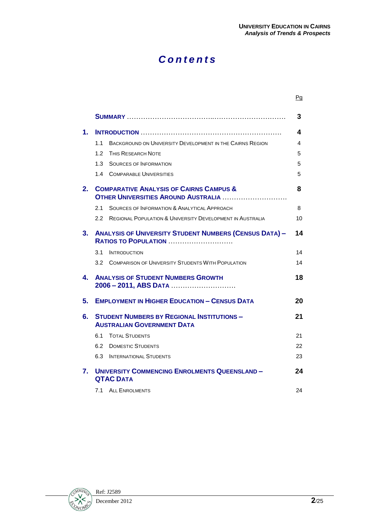## *C o n t e n t s*

|    |                                               |                                                                                                   | Pg |
|----|-----------------------------------------------|---------------------------------------------------------------------------------------------------|----|
|    |                                               |                                                                                                   | 3  |
| 1. |                                               |                                                                                                   | 4  |
|    | 1.1                                           | BACKGROUND ON UNIVERSITY DEVELOPMENT IN THE CAIRNS REGION                                         | 4  |
|    | 1.2 <sub>1</sub><br><b>THIS RESEARCH NOTE</b> |                                                                                                   | 5  |
|    | 1.3<br><b>SOURCES OF INFORMATION</b>          |                                                                                                   | 5  |
|    | 1.4 COMPARABLE UNIVERSITIES                   |                                                                                                   | 5  |
| 2. |                                               | <b>COMPARATIVE ANALYSIS OF CAIRNS CAMPUS &amp;</b><br><b>OTHER UNIVERSITIES AROUND AUSTRALIA </b> | 8  |
|    | 2.1                                           | <b>SOURCES OF INFORMATION &amp; ANALYTICAL APPROACH</b>                                           | 8  |
|    | 2.2                                           | <b>REGIONAL POPULATION &amp; UNIVERSITY DEVELOPMENT IN AUSTRALIA</b>                              | 10 |
| 3. |                                               | <b>ANALYSIS OF UNIVERSITY STUDENT NUMBERS (CENSUS DATA) -</b><br><b>RATIOS TO POPULATION </b>     | 14 |
|    | 3.1<br><b>INTRODUCTION</b>                    |                                                                                                   | 14 |
|    |                                               | 3.2 COMPARISON OF UNIVERSITY STUDENTS WITH POPULATION                                             | 14 |
| 4. | <b>ANALYSIS OF STUDENT NUMBERS GROWTH</b>     | 2006 - 2011, ABS DATA                                                                             | 18 |
| 5. |                                               | <b>EMPLOYMENT IN HIGHER EDUCATION - CENSUS DATA</b>                                               | 20 |
| 6. | <b>AUSTRALIAN GOVERNMENT DATA</b>             | <b>STUDENT NUMBERS BY REGIONAL INSTITUTIONS -</b>                                                 | 21 |
|    | 6.1<br><b>TOTAL STUDENTS</b>                  |                                                                                                   | 21 |
|    | 6.2 DOMESTIC STUDENTS                         |                                                                                                   | 22 |
|    | <b>6.3 INTERNATIONAL STUDENTS</b>             |                                                                                                   | 23 |
| 7. | <b>QTAC DATA</b>                              | <b>UNIVERSITY COMMENCING ENROLMENTS QUEENSLAND -</b>                                              | 24 |
|    | <b>ALL ENROLMENTS</b><br>7.1                  |                                                                                                   | 24 |

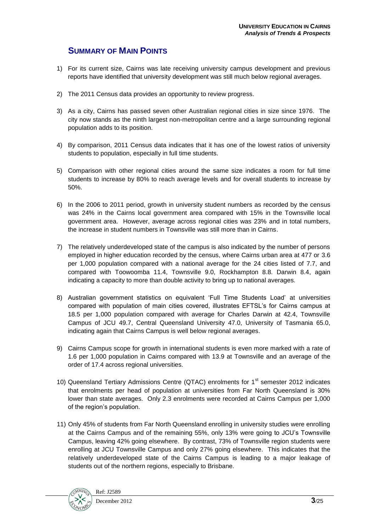## **SUMMARY OF MAIN POINTS**

- 1) For its current size, Cairns was late receiving university campus development and previous reports have identified that university development was still much below regional averages.
- 2) The 2011 Census data provides an opportunity to review progress.
- 3) As a city, Cairns has passed seven other Australian regional cities in size since 1976. The city now stands as the ninth largest non-metropolitan centre and a large surrounding regional population adds to its position.
- 4) By comparison, 2011 Census data indicates that it has one of the lowest ratios of university students to population, especially in full time students.
- 5) Comparison with other regional cities around the same size indicates a room for full time students to increase by 80% to reach average levels and for overall students to increase by 50%.
- 6) In the 2006 to 2011 period, growth in university student numbers as recorded by the census was 24% in the Cairns local government area compared with 15% in the Townsville local government area. However, average across regional cities was 23% and in total numbers, the increase in student numbers in Townsville was still more than in Cairns.
- 7) The relatively underdeveloped state of the campus is also indicated by the number of persons employed in higher education recorded by the census, where Cairns urban area at 477 or 3.6 per 1,000 population compared with a national average for the 24 cities listed of 7.7, and compared with Toowoomba 11.4, Townsville 9.0, Rockhampton 8.8. Darwin 8.4, again indicating a capacity to more than double activity to bring up to national averages.
- 8) Australian government statistics on equivalent 'Full Time Students Load' at universities compared with population of main cities covered, illustrates EFTSL's for Cairns campus at 18.5 per 1,000 population compared with average for Charles Darwin at 42.4, Townsville Campus of JCU 49.7, Central Queensland University 47.0, University of Tasmania 65.0, indicating again that Cairns Campus is well below regional averages.
- 9) Cairns Campus scope for growth in international students is even more marked with a rate of 1.6 per 1,000 population in Cairns compared with 13.9 at Townsville and an average of the order of 17.4 across regional universities.
- 10) Queensland Tertiary Admissions Centre (QTAC) enrolments for  $1<sup>st</sup>$  semester 2012 indicates that enrolments per head of population at universities from Far North Queensland is 30% lower than state averages. Only 2.3 enrolments were recorded at Cairns Campus per 1,000 of the region's population.
- 11) Only 45% of students from Far North Queensland enrolling in university studies were enrolling at the Cairns Campus and of the remaining 55%, only 13% were going to JCU's Townsville Campus, leaving 42% going elsewhere. By contrast, 73% of Townsville region students were enrolling at JCU Townsville Campus and only 27% going elsewhere. This indicates that the relatively underdeveloped state of the Cairns Campus is leading to a major leakage of students out of the northern regions, especially to Brisbane.

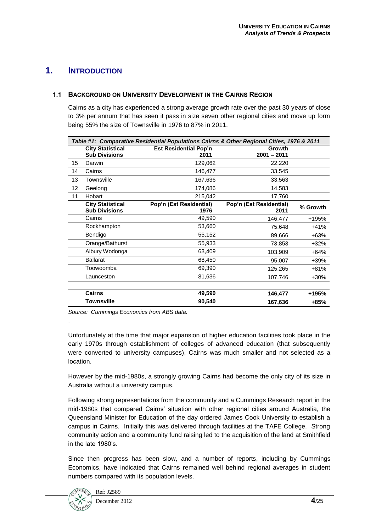## **1. INTRODUCTION**

#### **1.1 BACKGROUND ON UNIVERSITY DEVELOPMENT IN THE CAIRNS REGION**

Cairns as a city has experienced a strong average growth rate over the past 30 years of close to 3% per annum that has seen it pass in size seven other regional cities and move up form being 55% the size of Townsville in 1976 to 87% in 2011.

|    | Table #1: Comparative Residential Populations Cairns & Other Regional Cities, 1976 & 2011 |                                      |                                 |          |  |  |  |
|----|-------------------------------------------------------------------------------------------|--------------------------------------|---------------------------------|----------|--|--|--|
|    | <b>City Statistical</b><br><b>Sub Divisions</b>                                           | <b>Est Residential Pop'n</b><br>2011 | Growth<br>$2001 - 2011$         |          |  |  |  |
| 15 | Darwin                                                                                    | 129,062                              | 22,220                          |          |  |  |  |
| 14 | Cairns                                                                                    | 146,477                              | 33,545                          |          |  |  |  |
| 13 | Townsville                                                                                | 167,636                              | 33,563                          |          |  |  |  |
| 12 | Geelong                                                                                   | 174,086                              | 14,583                          |          |  |  |  |
| 11 | Hobart                                                                                    | 215,042                              | 17,760                          |          |  |  |  |
|    | <b>City Statistical</b><br><b>Sub Divisions</b>                                           | Pop'n (Est Residential)<br>1976      | Pop'n (Est Residential)<br>2011 | % Growth |  |  |  |
|    | Cairns                                                                                    | 49,590                               | 146,477                         | +195%    |  |  |  |
|    | Rockhampton                                                                               | 53,660                               | 75,648                          | $+41%$   |  |  |  |
|    | Bendigo                                                                                   | 55,152                               | 89,666                          | $+63%$   |  |  |  |
|    | Orange/Bathurst                                                                           | 55,933                               | 73,853                          | $+32%$   |  |  |  |
|    | Albury Wodonga                                                                            | 63,409                               | 103,909                         | $+64%$   |  |  |  |
|    | <b>Ballarat</b>                                                                           | 68,450                               | 95,007                          | +39%     |  |  |  |
|    | Toowoomba                                                                                 | 69,390                               | 125,265                         | $+81%$   |  |  |  |
|    | Launceston                                                                                | 81,636                               | 107,746                         | $+30%$   |  |  |  |
|    |                                                                                           |                                      |                                 |          |  |  |  |
|    | <b>Cairns</b>                                                                             | 49,590                               | 146,477                         | +195%    |  |  |  |
|    | <b>Townsville</b>                                                                         | 90,540                               | 167,636                         | +85%     |  |  |  |

*Source: Cummings Economics from ABS data.*

Unfortunately at the time that major expansion of higher education facilities took place in the early 1970s through establishment of colleges of advanced education (that subsequently were converted to university campuses), Cairns was much smaller and not selected as a location.

However by the mid-1980s, a strongly growing Cairns had become the only city of its size in Australia without a university campus.

Following strong representations from the community and a Cummings Research report in the mid-1980s that compared Cairns' situation with other regional cities around Australia, the Queensland Minister for Education of the day ordered James Cook University to establish a campus in Cairns. Initially this was delivered through facilities at the TAFE College. Strong community action and a community fund raising led to the acquisition of the land at Smithfield in the late 1980's.

Since then progress has been slow, and a number of reports, including by Cummings Economics, have indicated that Cairns remained well behind regional averages in student numbers compared with its population levels.



.

Ref: J2589 December 2012 **4/**25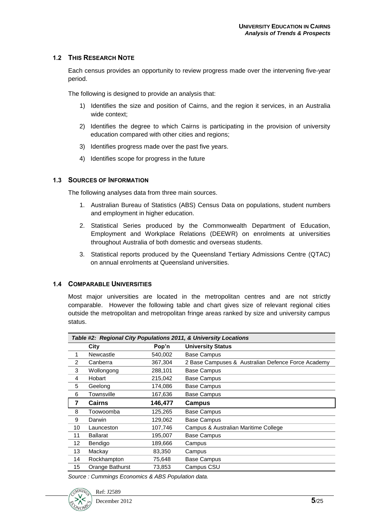#### **1.2 THIS RESEARCH NOTE**

Each census provides an opportunity to review progress made over the intervening five-year period.

The following is designed to provide an analysis that:

- 1) Identifies the size and position of Cairns, and the region it services, in an Australia wide context;
- 2) Identifies the degree to which Cairns is participating in the provision of university education compared with other cities and regions;
- 3) Identifies progress made over the past five years.
- 4) Identifies scope for progress in the future

#### **1.3 SOURCES OF INFORMATION**

The following analyses data from three main sources.

- 1. Australian Bureau of Statistics (ABS) Census Data on populations, student numbers and employment in higher education.
- 2. Statistical Series produced by the Commonwealth Department of Education, Employment and Workplace Relations (DEEWR) on enrolments at universities throughout Australia of both domestic and overseas students.
- 3. Statistical reports produced by the Queensland Tertiary Admissions Centre (QTAC) on annual enrolments at Queensland universities.

#### **1.4 COMPARABLE UNIVERSITIES**

Most major universities are located in the metropolitan centres and are not strictly comparable. However the following table and chart gives size of relevant regional cities outside the metropolitan and metropolitan fringe areas ranked by size and university campus status.

|    | Table #2: Regional City Populations 2011, & University Locations |         |                                                    |  |  |  |
|----|------------------------------------------------------------------|---------|----------------------------------------------------|--|--|--|
|    | City                                                             | Pop'n   | <b>University Status</b>                           |  |  |  |
| 1  | Newcastle                                                        | 540,002 | <b>Base Campus</b>                                 |  |  |  |
| 2  | Canberra                                                         | 367,304 | 2 Base Campuses & Australian Defence Force Academy |  |  |  |
| 3  | Wollongong                                                       | 288,101 | <b>Base Campus</b>                                 |  |  |  |
| 4  | Hobart                                                           | 215,042 | <b>Base Campus</b>                                 |  |  |  |
| 5  | Geelong                                                          | 174,086 | <b>Base Campus</b>                                 |  |  |  |
| 6  | Townsville                                                       | 167,636 | <b>Base Campus</b>                                 |  |  |  |
| 7  | <b>Cairns</b>                                                    | 146,477 | Campus                                             |  |  |  |
| 8  | Toowoomba                                                        | 125,265 | <b>Base Campus</b>                                 |  |  |  |
| 9  | Darwin                                                           | 129,062 | <b>Base Campus</b>                                 |  |  |  |
| 10 | Launceston                                                       | 107,746 | Campus & Australian Maritime College               |  |  |  |
| 11 | <b>Ballarat</b>                                                  | 195,007 | <b>Base Campus</b>                                 |  |  |  |
| 12 | <b>Bendigo</b>                                                   | 189,666 | Campus                                             |  |  |  |
| 13 | Mackay                                                           | 83,350  | Campus                                             |  |  |  |
| 14 | Rockhampton                                                      | 75,648  | <b>Base Campus</b>                                 |  |  |  |
| 15 | Orange Bathurst                                                  | 73,853  | Campus CSU                                         |  |  |  |

*Source : Cummings Economics & ABS Population data.*

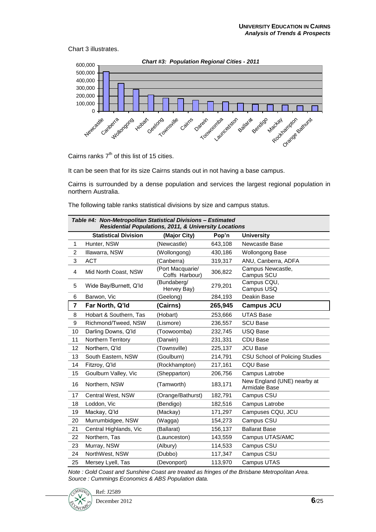Chart 3 illustrates.



Cairns ranks  $7<sup>th</sup>$  of this list of 15 cities.

It can be seen that for its size Cairns stands out in not having a base campus.

Cairns is surrounded by a dense population and services the largest regional population in northern Australia.

The following table ranks statistical divisions by size and campus status.

|                | Table #4: Non-Metropolitan Statistical Divisions - Estimated<br>Residential Populations, 2011, & University Locations |                                    |         |                                              |  |  |
|----------------|-----------------------------------------------------------------------------------------------------------------------|------------------------------------|---------|----------------------------------------------|--|--|
|                | <b>Statistical Division</b>                                                                                           | (Major City)                       | Pop'n   | <b>University</b>                            |  |  |
| $\mathbf{1}$   | Hunter, NSW                                                                                                           | (Newcastle)                        | 643,108 | Newcastle Base                               |  |  |
| $\overline{c}$ | Illawarra, NSW                                                                                                        | (Wollongong)                       | 430,186 | <b>Wollongong Base</b>                       |  |  |
| 3              | <b>ACT</b>                                                                                                            | (Canberra)                         | 319,317 | ANU, Canberra, ADFA                          |  |  |
| 4              | Mid North Coast, NSW                                                                                                  | (Port Macquarie/<br>Coffs Harbour) | 306,822 | Campus Newcastle,<br>Campus SCU              |  |  |
| 5              | Wide Bay/Burnett, Q'Id                                                                                                | (Bundaberg/<br>Hervey Bay)         | 279,201 | Campus CQU,<br>Campus USQ                    |  |  |
| 6              | Barwon, Vic                                                                                                           | (Geelong)                          | 284,193 | Deakin Base                                  |  |  |
| $\overline{7}$ | Far North, Q'ld                                                                                                       | (Cairns)                           | 265,945 | <b>Campus JCU</b>                            |  |  |
| 8              | Hobart & Southern, Tas                                                                                                | (Hobart)                           | 253,666 | <b>UTAS Base</b>                             |  |  |
| 9              | Richmond/Tweed, NSW                                                                                                   | (Lismore)                          | 236,557 | <b>SCU Base</b>                              |  |  |
| 10             | Darling Downs, Q'ld                                                                                                   | (Toowoomba)                        | 232,745 | <b>USQ Base</b>                              |  |  |
| 11             | Northern Territory                                                                                                    | (Darwin)                           | 231,331 | CDU Base                                     |  |  |
| 12             | Northern, Q'Id                                                                                                        | (Townsville)                       | 225,137 | <b>JCU Base</b>                              |  |  |
| 13             | South Eastern, NSW                                                                                                    | (Goulburn)                         | 214,791 | <b>CSU School of Policing Studies</b>        |  |  |
| 14             | Fitzroy, Q'Id                                                                                                         | (Rockhampton)                      | 217,161 | <b>CQU Base</b>                              |  |  |
| 15             | Goulburn Valley, Vic                                                                                                  | (Shepparton)                       | 206,756 | Campus Latrobe                               |  |  |
| 16             | Northern, NSW                                                                                                         | (Tamworth)                         | 183,171 | New England (UNE) nearby at<br>Armidale Base |  |  |
| 17             | Central West, NSW                                                                                                     | (Orange/Bathurst)                  | 182,791 | Campus CSU                                   |  |  |
| 18             | Loddon, Vic                                                                                                           | (Bendigo)                          | 182,516 | Campus Latrobe                               |  |  |
| 19             | Mackay, Q'ld                                                                                                          | (Mackay)                           | 171,297 | Campuses CQU, JCU                            |  |  |
| 20             | Murrumbidgee, NSW                                                                                                     | (Wagga)                            | 154,273 | Campus CSU                                   |  |  |
| 21             | Central Highlands, Vic                                                                                                | (Ballarat)                         | 156,137 | <b>Ballarat Base</b>                         |  |  |
| 22             | Northern, Tas                                                                                                         | (Launceston)                       | 143,559 | Campus UTAS/AMC                              |  |  |
| 23             | Murray, NSW                                                                                                           | (Albury)                           | 114,533 | Campus CSU                                   |  |  |
| 24             | NorthWest, NSW                                                                                                        | (Dubbo)                            | 117,347 | Campus CSU                                   |  |  |
| 25             | Mersey Lyell, Tas                                                                                                     | (Devonport)                        | 113,970 | <b>Campus UTAS</b>                           |  |  |

*Note : Gold Coast and Sunshine Coast are treated as fringes of the Brisbane Metropolitan Area. Source : Cummings Economics & ABS Population data.*



Ref: J2589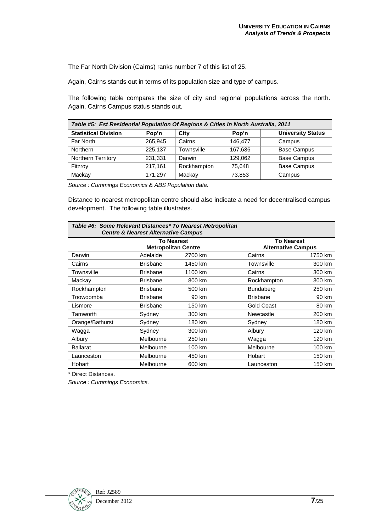The Far North Division (Cairns) ranks number 7 of this list of 25.

Again, Cairns stands out in terms of its population size and type of campus.

The following table compares the size of city and regional populations across the north. Again, Cairns Campus status stands out.

| Table #5: Est Residential Population Of Regions & Cities In North Australia, 2011 |         |             |         |                    |  |  |  |
|-----------------------------------------------------------------------------------|---------|-------------|---------|--------------------|--|--|--|
| <b>University Status</b><br><b>Statistical Division</b><br>City<br>Pop'n<br>Pop'n |         |             |         |                    |  |  |  |
| Far North                                                                         | 265.945 | Cairns      | 146.477 | Campus             |  |  |  |
| <b>Northern</b>                                                                   | 225,137 | Townsville  | 167.636 | <b>Base Campus</b> |  |  |  |
| Northern Territory                                                                | 231,331 | Darwin      | 129.062 | <b>Base Campus</b> |  |  |  |
| Fitzroy                                                                           | 217,161 | Rockhampton | 75.648  | <b>Base Campus</b> |  |  |  |
| Mackay                                                                            | 171.297 | Mackay      | 73,853  | Campus             |  |  |  |

*Source : Cummings Economics & ABS Population data.*

Distance to nearest metropolitan centre should also indicate a need for decentralised campus development. The following table illustrates.

| Table #6: Some Relevant Distances* To Nearest Metropolitan | <b>Centre &amp; Nearest Alternative Campus</b> |         |                           |         |
|------------------------------------------------------------|------------------------------------------------|---------|---------------------------|---------|
|                                                            | <b>To Nearest</b>                              |         | <b>To Nearest</b>         |         |
|                                                            | <b>Metropolitan Centre</b>                     |         | <b>Alternative Campus</b> |         |
| Darwin                                                     | Adelaide                                       | 2700 km | Cairns                    | 1750 km |
| Cairns                                                     | <b>Brisbane</b>                                | 1450 km | Townsville                | 300 km  |
| Townsville                                                 | <b>Brisbane</b>                                | 1100 km | Cairns                    | 300 km  |
| Mackay                                                     | <b>Brisbane</b>                                | 800 km  | Rockhampton               | 300 km  |
| Rockhampton                                                | <b>Brisbane</b>                                | 500 km  | <b>Bundaberg</b>          | 250 km  |
| Toowoomba                                                  | <b>Brisbane</b>                                | 90 km   | <b>Brisbane</b>           | 90 km   |
| Lismore                                                    | <b>Brisbane</b>                                | 150 km  | <b>Gold Coast</b>         | 80 km   |
| Tamworth                                                   | Sydney                                         | 300 km  | Newcastle                 | 200 km  |
| Orange/Bathurst                                            | Sydney                                         | 180 km  | Sydney                    | 180 km  |
| Wagga                                                      | Sydney                                         | 300 km  | Albury                    | 120 km  |
| Albury                                                     | Melbourne                                      | 250 km  | Wagga                     | 120 km  |
| <b>Ballarat</b>                                            | Melbourne                                      | 100 km  | Melbourne                 | 100 km  |
| Launceston                                                 | Melbourne                                      | 450 km  | Hobart                    | 150 km  |
| Hobart                                                     | Melbourne                                      | 600 km  | Launceston                | 150 km  |

\* Direct Distances.

*Source : Cummings Economics.*

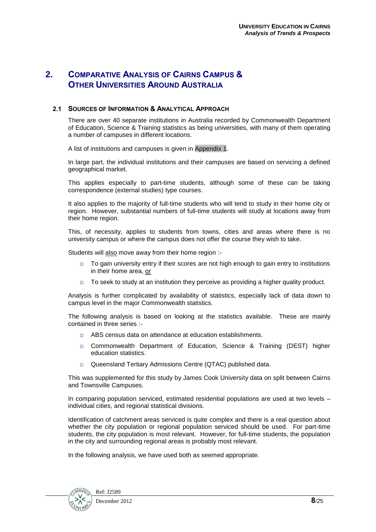## **2. COMPARATIVE ANALYSIS OF CAIRNS CAMPUS & OTHER UNIVERSITIES AROUND AUSTRALIA**

#### **2.1 SOURCES OF INFORMATION & ANALYTICAL APPROACH**

There are over 40 separate institutions in Australia recorded by Commonwealth Department of Education, Science & Training statistics as being universities, with many of them operating a number of campuses in different locations.

A list of institutions and campuses is given in Appendix 1.

In large part, the individual institutions and their campuses are based on servicing a defined geographical market.

This applies especially to part-time students, although some of these can be taking correspondence (external studies) type courses.

It also applies to the majority of full-time students who will tend to study in their home city or region. However, substantial numbers of full-time students will study at locations away from their home region.

This, of necessity, applies to students from towns, cities and areas where there is no university campus or where the campus does not offer the course they wish to take.

Students will also move away from their home region :-

- $\circ$  To gain university entry if their scores are not high enough to gain entry to institutions in their home area, or
- $\circ$  To seek to study at an institution they perceive as providing a higher quality product.

Analysis is further complicated by availability of statistics, especially lack of data down to campus level in the major Commonwealth statistics.

The following analysis is based on looking at the statistics available. These are mainly contained in three series :-

- o ABS census data on attendance at education establishments.
- o Commonwealth Department of Education, Science & Training (DEST) higher education statistics.
- o Queensland Tertiary Admissions Centre (QTAC) published data.

This was supplemented for this study by James Cook University data on split between Cairns and Townsville Campuses.

In comparing population serviced, estimated residential populations are used at two levels – individual cities, and regional statistical divisions.

Identification of catchment areas serviced is quite complex and there is a real question about whether the city population or regional population serviced should be used. For part-time students, the city population is most relevant. However, for full-time students, the population in the city and surrounding regional areas is probably most relevant.

In the following analysis, we have used both as seemed appropriate.

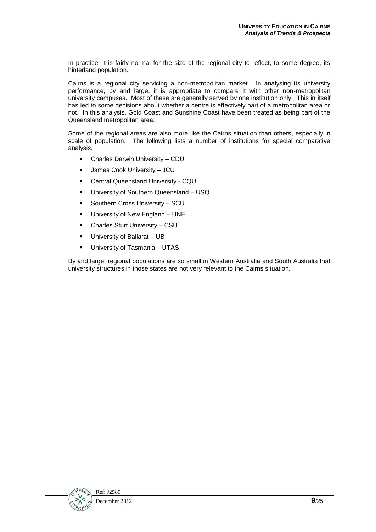In practice, it is fairly normal for the size of the regional city to reflect, to some degree, its hinterland population.

Cairns is a regional city servicing a non-metropolitan market. In analysing its university performance, by and large, it is appropriate to compare it with other non-metropolitan university campuses. Most of these are generally served by one institution only. This in itself has led to some decisions about whether a centre is effectively part of a metropolitan area or not. In this analysis, Gold Coast and Sunshine Coast have been treated as being part of the Queensland metropolitan area.

Some of the regional areas are also more like the Cairns situation than others, especially in scale of population. The following lists a number of institutions for special comparative analysis.

- Charles Darwin University CDU
- James Cook University JCU
- Central Queensland University CQU
- University of Southern Queensland USQ
- **Southern Cross University SCU**
- **University of New England UNE**
- Charles Sturt University CSU
- University of Ballarat UB
- University of Tasmania UTAS

By and large, regional populations are so small in Western Australia and South Australia that university structures in those states are not very relevant to the Cairns situation.

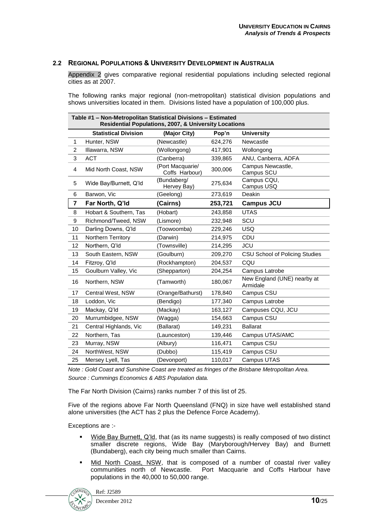#### **2.2 REGIONAL POPULATIONS & UNIVERSITY DEVELOPMENT IN AUSTRALIA**

Appendix 2 gives comparative regional residential populations including selected regional cities as at 2007.

The following ranks major regional (non-metropolitan) statistical division populations and shows universities located in them. Divisions listed have a population of 100,000 plus.

|                         | Table #1 - Non-Metropolitan Statistical Divisions - Estimated<br>Residential Populations, 2007, & University Locations |                                    |         |                                         |  |  |
|-------------------------|------------------------------------------------------------------------------------------------------------------------|------------------------------------|---------|-----------------------------------------|--|--|
|                         | <b>Statistical Division</b>                                                                                            | (Major City)                       | Pop'n   | <b>University</b>                       |  |  |
| $\mathbf{1}$            | Hunter, NSW                                                                                                            | (Newcastle)                        | 624,276 | Newcastle                               |  |  |
| $\overline{2}$          | Illawarra, NSW                                                                                                         | (Wollongong)                       | 417,901 | Wollongong                              |  |  |
| $\mathbf{3}$            | <b>ACT</b>                                                                                                             | (Canberra)                         | 339,865 | ANU, Canberra, ADFA                     |  |  |
| 4                       | Mid North Coast, NSW                                                                                                   | (Port Macquarie/<br>Coffs Harbour) | 300,006 | Campus Newcastle,<br>Campus SCU         |  |  |
| 5                       | Wide Bay/Burnett, Q'Id                                                                                                 | (Bundaberg/<br>Hervey Bay)         | 275,634 | Campus CQU,<br>Campus USQ               |  |  |
| 6                       | Barwon, Vic                                                                                                            | (Geelong)                          | 273,619 | Deakin                                  |  |  |
| $\overline{\mathbf{7}}$ | Far North, Q'Id                                                                                                        | (Cairns)                           | 253,721 | <b>Campus JCU</b>                       |  |  |
| 8                       | Hobart & Southern, Tas                                                                                                 | (Hobart)                           | 243,858 | <b>UTAS</b>                             |  |  |
| 9                       | Richmond/Tweed, NSW                                                                                                    | (Lismore)                          | 232,948 | SCU                                     |  |  |
| 10                      | Darling Downs, Q'ld                                                                                                    | (Toowoomba)                        | 229,246 | <b>USQ</b>                              |  |  |
| 11                      | Northern Territory                                                                                                     | (Darwin)                           | 214,975 | CDU                                     |  |  |
| 12                      | Northern, Q'Id                                                                                                         | (Townsville)                       | 214,295 | <b>JCU</b>                              |  |  |
| 13                      | South Eastern, NSW                                                                                                     | (Goulburn)                         | 209,270 | <b>CSU School of Policing Studies</b>   |  |  |
| 14                      | Fitzroy, Q'Id                                                                                                          | (Rockhampton)                      | 204,537 | CQU                                     |  |  |
| 15                      | Goulburn Valley, Vic                                                                                                   | (Shepparton)                       | 204,254 | Campus Latrobe                          |  |  |
| 16                      | Northern, NSW                                                                                                          | (Tamworth)                         | 180,067 | New England (UNE) nearby at<br>Armidale |  |  |
| 17                      | Central West, NSW                                                                                                      | (Orange/Bathurst)                  | 178,840 | Campus CSU                              |  |  |
| 18                      | Loddon, Vic                                                                                                            | (Bendigo)                          | 177,340 | Campus Latrobe                          |  |  |
| 19                      | Mackay, Q'ld                                                                                                           | (Mackay)                           | 163,127 | Campuses CQU, JCU                       |  |  |
| 20                      | Murrumbidgee, NSW                                                                                                      | (Wagga)                            | 154,663 | Campus CSU                              |  |  |
| 21                      | Central Highlands, Vic                                                                                                 | (Ballarat)                         | 149,231 | <b>Ballarat</b>                         |  |  |
| 22                      | Northern, Tas                                                                                                          | (Launceston)                       | 139,446 | Campus UTAS/AMC                         |  |  |
| 23                      | Murray, NSW                                                                                                            | (Albury)                           | 116,471 | Campus CSU                              |  |  |
| 24                      | NorthWest, NSW                                                                                                         | (Dubbo)                            | 115,419 | Campus CSU                              |  |  |
| 25                      | Mersey Lyell, Tas                                                                                                      | (Devonport)                        | 110,017 | Campus UTAS                             |  |  |

*Note : Gold Coast and Sunshine Coast are treated as fringes of the Brisbane Metropolitan Area. Source : Cummings Economics & ABS Population data.*

The Far North Division (Cairns) ranks number 7 of this list of 25.

Five of the regions above Far North Queensland (FNQ) in size have well established stand alone universities (the ACT has 2 plus the Defence Force Academy).

Exceptions are :-

- Wide Bay Burnett, Q'ld, that (as its name suggests) is really composed of two distinct smaller discrete regions, Wide Bay (Maryborough/Hervey Bay) and Burnett (Bundaberg), each city being much smaller than Cairns.
- Mid North Coast, NSW, that is composed of a number of coastal river valley communities north of Newcastle. Port Macquarie and Coffs Harbour have populations in the 40,000 to 50,000 range.

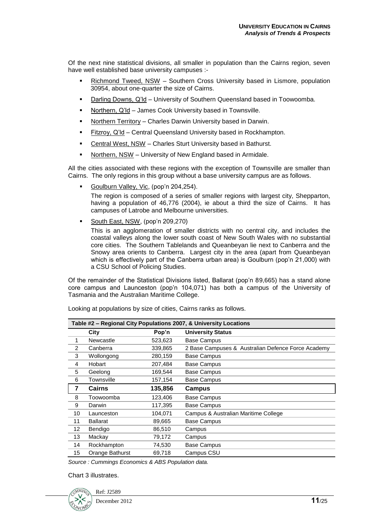Of the next nine statistical divisions, all smaller in population than the Cairns region, seven have well established base university campuses :-

- Richmond Tweed, NSW Southern Cross University based in Lismore, population 30954, about one-quarter the size of Cairns.
- Darling Downs, Q'ld University of Southern Queensland based in Toowoomba.
- Northern, Q'ld James Cook University based in Townsville.
- Northern Territory Charles Darwin University based in Darwin.
- **Fitzroy, Q'ld Central Queensland University based in Rockhampton.**
- Central West, NSW Charles Sturt University based in Bathurst.
- Northern, NSW University of New England based in Armidale.

All the cities associated with these regions with the exception of Townsville are smaller than Cairns. The only regions in this group without a base university campus are as follows.

Goulburn Valley, Vic, (pop'n 204,254).

The region is composed of a series of smaller regions with largest city, Shepparton, having a population of 46,776 (2004), ie about a third the size of Cairns. It has campuses of Latrobe and Melbourne universities.

South East, NSW, (pop'n 209,270)

This is an agglomeration of smaller districts with no central city, and includes the coastal valleys along the lower south coast of New South Wales with no substantial core cities. The Southern Tablelands and Queanbeyan lie next to Canberra and the Snowy area orients to Canberra. Largest city in the area (apart from Queanbeyan which is effectively part of the Canberra urban area) is Goulburn (pop'n 21,000) with a CSU School of Policing Studies.

Of the remainder of the Statistical Divisions listed, Ballarat (pop'n 89,665) has a stand alone core campus and Launceston (pop'n 104,071) has both a campus of the University of Tasmania and the Australian Maritime College.

| Table #2 - Regional City Populations 2007, & University Locations |                 |         |                                                    |  |  |
|-------------------------------------------------------------------|-----------------|---------|----------------------------------------------------|--|--|
|                                                                   | City            | Pop'n   | <b>University Status</b>                           |  |  |
| 1                                                                 | Newcastle       | 523,623 | <b>Base Campus</b>                                 |  |  |
| 2                                                                 | Canberra        | 339,865 | 2 Base Campuses & Australian Defence Force Academy |  |  |
| 3                                                                 | Wollongong      | 280,159 | <b>Base Campus</b>                                 |  |  |
| 4                                                                 | Hobart          | 207,484 | <b>Base Campus</b>                                 |  |  |
| 5                                                                 | Geelong         | 169,544 | <b>Base Campus</b>                                 |  |  |
| 6                                                                 | Townsville      | 157,154 | <b>Base Campus</b>                                 |  |  |
| $\overline{7}$                                                    | <b>Cairns</b>   | 135,856 | Campus                                             |  |  |
| 8                                                                 | Toowoomba       | 123,406 | <b>Base Campus</b>                                 |  |  |
| 9                                                                 | Darwin          | 117,395 | <b>Base Campus</b>                                 |  |  |
| 10                                                                | Launceston      | 104,071 | Campus & Australian Maritime College               |  |  |
| 11                                                                | <b>Ballarat</b> | 89,665  | <b>Base Campus</b>                                 |  |  |
| 12                                                                | Bendigo         | 86,510  | Campus                                             |  |  |
| 13                                                                | Mackay          | 79,172  | Campus                                             |  |  |
| 14                                                                | Rockhampton     | 74,530  | <b>Base Campus</b>                                 |  |  |
| 15                                                                | Orange Bathurst | 69,718  | Campus CSU                                         |  |  |

Looking at populations by size of cities, Cairns ranks as follows.

*Source : Cummings Economics & ABS Population data.*

Chart 3 illustrates.



December 2012 **11/**25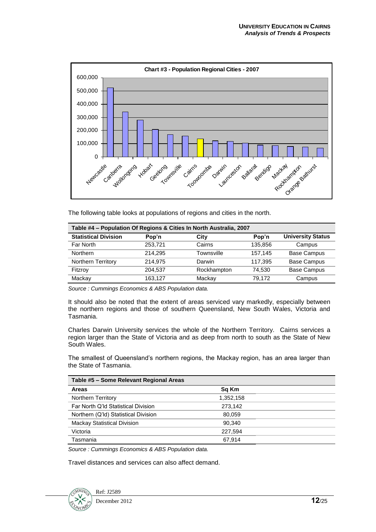

The following table looks at populations of regions and cities in the north.

| Table #4 – Population Of Regions & Cities In North Australia, 2007                |         |             |         |                    |  |  |
|-----------------------------------------------------------------------------------|---------|-------------|---------|--------------------|--|--|
| <b>University Status</b><br><b>Statistical Division</b><br>City<br>Pop'n<br>Pop'n |         |             |         |                    |  |  |
| Far North                                                                         | 253.721 | Cairns      | 135.856 | Campus             |  |  |
| <b>Northern</b>                                                                   | 214.295 | Townsville  | 157,145 | <b>Base Campus</b> |  |  |
| Northern Territory                                                                | 214.975 | Darwin      | 117.395 | <b>Base Campus</b> |  |  |
| Fitzrov                                                                           | 204.537 | Rockhampton | 74.530  | <b>Base Campus</b> |  |  |
| Mackay                                                                            | 163.127 | Mackay      | 79.172  | Campus             |  |  |

*Source : Cummings Economics & ABS Population data.*

It should also be noted that the extent of areas serviced vary markedly, especially between the northern regions and those of southern Queensland, New South Wales, Victoria and Tasmania.

Charles Darwin University services the whole of the Northern Territory. Cairns services a region larger than the State of Victoria and as deep from north to south as the State of New South Wales.

The smallest of Queensland's northern regions, the Mackay region, has an area larger than the State of Tasmania.

| Sq Km     |  |
|-----------|--|
| 1,352,158 |  |
| 273.142   |  |
| 80,059    |  |
| 90.340    |  |
| 227.594   |  |
| 67.914    |  |
|           |  |

*Source : Cummings Economics & ABS Population data.*

Travel distances and services can also affect demand.

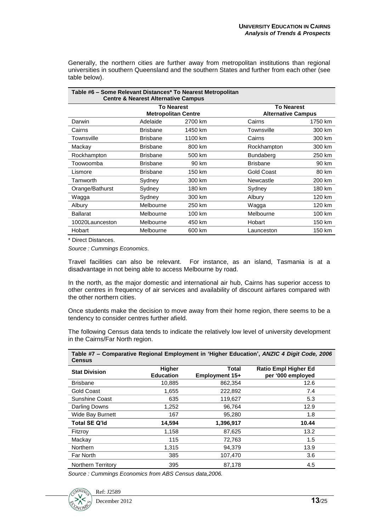Generally, the northern cities are further away from metropolitan institutions than regional universities in southern Queensland and the southern States and further from each other (see table below).

| Table #6 – Some Relevant Distances* To Nearest Metropolitan<br><b>Centre &amp; Nearest Alternative Campus</b> |                            |         |                           |         |
|---------------------------------------------------------------------------------------------------------------|----------------------------|---------|---------------------------|---------|
|                                                                                                               | <b>To Nearest</b>          |         | <b>To Nearest</b>         |         |
|                                                                                                               | <b>Metropolitan Centre</b> |         | <b>Alternative Campus</b> |         |
| Darwin                                                                                                        | Adelaide                   | 2700 km | Cairns                    | 1750 km |
| Cairns                                                                                                        | Brisbane                   | 1450 km | Townsville                | 300 km  |
| Townsville                                                                                                    | <b>Brisbane</b>            | 1100 km | Cairns                    | 300 km  |
| Mackay                                                                                                        | <b>Brisbane</b>            | 800 km  | Rockhampton               | 300 km  |
| Rockhampton                                                                                                   | <b>Brisbane</b>            | 500 km  | <b>Bundaberg</b>          | 250 km  |
| Toowoomba                                                                                                     | <b>Brisbane</b>            | 90 km   | <b>Brisbane</b>           | 90 km   |
| Lismore                                                                                                       | <b>Brisbane</b>            | 150 km  | <b>Gold Coast</b>         | 80 km   |
| Tamworth                                                                                                      | Sydney                     | 300 km  | Newcastle                 | 200 km  |
| Orange/Bathurst                                                                                               | Sydney                     | 180 km  | Sydney                    | 180 km  |
| Wagga                                                                                                         | Sydney                     | 300 km  | Albury                    | 120 km  |
| Albury                                                                                                        | Melbourne                  | 250 km  | Wagga                     | 120 km  |
| <b>Ballarat</b>                                                                                               | Melbourne                  | 100 km  | Melbourne                 | 100 km  |
| 10020Launceston                                                                                               | Melbourne                  | 450 km  | Hobart                    | 150 km  |
| Hobart                                                                                                        | Melbourne                  | 600 km  | Launceston                | 150 km  |

\* Direct Distances.

*Source : Cummings Economics.*

Travel facilities can also be relevant. For instance, as an island, Tasmania is at a disadvantage in not being able to access Melbourne by road.

In the north, as the major domestic and international air hub, Cairns has superior access to other centres in frequency of air services and availability of discount airfares compared with the other northern cities.

Once students make the decision to move away from their home region, there seems to be a tendency to consider centres further afield.

The following Census data tends to indicate the relatively low level of university development in the Cairns/Far North region.

| Table #7 - Comparative Regional Employment in 'Higher Education', ANZIC 4 Digit Code, 2006<br><b>Census</b> |                            |                                |                                                  |  |  |  |  |
|-------------------------------------------------------------------------------------------------------------|----------------------------|--------------------------------|--------------------------------------------------|--|--|--|--|
| <b>Stat Division</b>                                                                                        | Higher<br><b>Education</b> | <b>Total</b><br>Employment 15+ | <b>Ratio Empl Higher Ed</b><br>per '000 employed |  |  |  |  |
| <b>Brisbane</b>                                                                                             | 10,885                     | 862,354                        | 12.6                                             |  |  |  |  |
| <b>Gold Coast</b>                                                                                           | 1,655                      | 222,892                        | 7.4                                              |  |  |  |  |
| <b>Sunshine Coast</b>                                                                                       | 635                        | 119,627                        | 5.3                                              |  |  |  |  |
| Darling Downs                                                                                               | 1,252                      | 96,764                         | 12.9                                             |  |  |  |  |
| Wide Bay Burnett                                                                                            | 167                        | 95,280                         | 1.8                                              |  |  |  |  |
| <b>Total SE Q'Id</b>                                                                                        | 14,594                     | 1,396,917                      | 10.44                                            |  |  |  |  |
| Fitzrov                                                                                                     | 1.158                      | 87,625                         | 13.2                                             |  |  |  |  |
| Mackay                                                                                                      | 115                        | 72,763                         | 1.5                                              |  |  |  |  |
| <b>Northern</b>                                                                                             | 1,315                      | 94.379                         | 13.9                                             |  |  |  |  |
| Far North                                                                                                   | 385                        | 107,470                        | 3.6                                              |  |  |  |  |
| <b>Northern Territory</b>                                                                                   | 395                        | 87,178                         | 4.5                                              |  |  |  |  |

*Source : Cummings Economics from ABS Census data,2006.*

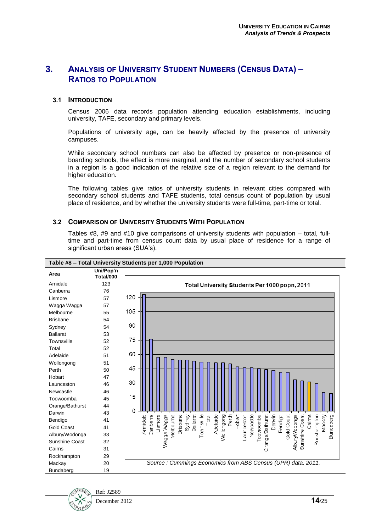## **3. ANALYSIS OF UNIVERSITY STUDENT NUMBERS (CENSUS DATA) – RATIOS TO POPULATION**

#### **3.1 INTRODUCTION**

Census 2006 data records population attending education establishments, including university, TAFE, secondary and primary levels.

Populations of university age, can be heavily affected by the presence of university campuses.

While secondary school numbers can also be affected by presence or non-presence of boarding schools, the effect is more marginal, and the number of secondary school students in a region is a good indication of the relative size of a region relevant to the demand for higher education.

The following tables give ratios of university students in relevant cities compared with secondary school students and TAFE students, total census count of population by usual place of residence, and by whether the university students were full-time, part-time or total.

#### **3.2 COMPARISON OF UNIVERSITY STUDENTS WITH POPULATION**

Tables #8, #9 and #10 give comparisons of university students with population – total, fulltime and part-time from census count data by usual place of residence for a range of significant urban areas (SUA's).



#### **Table #8 – Total University Students per 1,000 Population**

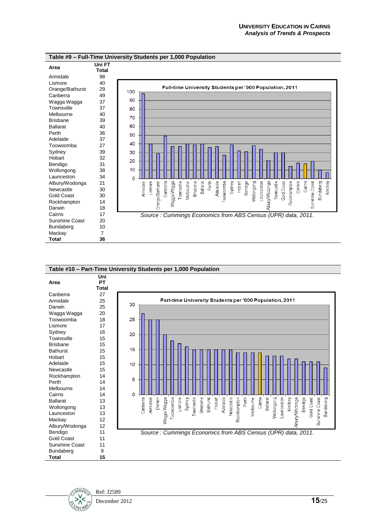| Area                  | Uni FT<br><b>Total</b> |                                                                                                                                                                                                                                                                                                                                                  |
|-----------------------|------------------------|--------------------------------------------------------------------------------------------------------------------------------------------------------------------------------------------------------------------------------------------------------------------------------------------------------------------------------------------------|
| Armidale              | 98                     |                                                                                                                                                                                                                                                                                                                                                  |
| Lismore               | 40                     |                                                                                                                                                                                                                                                                                                                                                  |
| Orange/Bathurst       | 29                     | Full-time University Students per '000 Population, 2011<br>100                                                                                                                                                                                                                                                                                   |
| Canberra              | 49                     |                                                                                                                                                                                                                                                                                                                                                  |
| Wagga Wagga           | 37                     | 90                                                                                                                                                                                                                                                                                                                                               |
| Townsville            | 37                     | 80                                                                                                                                                                                                                                                                                                                                               |
| Melbourne             | 40                     | 70                                                                                                                                                                                                                                                                                                                                               |
| <b>Brisbane</b>       | 39                     |                                                                                                                                                                                                                                                                                                                                                  |
| <b>Ballarat</b>       | 40                     | 60                                                                                                                                                                                                                                                                                                                                               |
| Perth                 | 36                     | 50                                                                                                                                                                                                                                                                                                                                               |
| Adelaide              | 37                     |                                                                                                                                                                                                                                                                                                                                                  |
| Toowoomba             | 27                     | 40                                                                                                                                                                                                                                                                                                                                               |
| Sydney                | 39                     | 30                                                                                                                                                                                                                                                                                                                                               |
| Hobart                | 32                     | 20                                                                                                                                                                                                                                                                                                                                               |
| Bendigo               | 31                     |                                                                                                                                                                                                                                                                                                                                                  |
| Wollongong            | 38                     | 10                                                                                                                                                                                                                                                                                                                                               |
| Launceston            | 34                     | $\Omega$                                                                                                                                                                                                                                                                                                                                         |
| Albury/Wodonga        | 21                     | Toowoomba<br>Bendigo<br>Gold Coast<br>Rockhampton<br>Darwin<br>Cairns<br>Orange/Bathurst<br>Canberra<br>Townsville<br>Brisbane<br>Perth<br>Adelaide<br>Sydney<br>Hobart<br>Wollongong<br>-aunceston<br>Newcastle<br><b>Bundaberg</b><br>Lismore<br>Wagga Wagga<br>Ballarat<br>Abury/Wodonga<br>Sunshine Coast<br>Melbourne<br>Mackay<br>Armidale |
| Newcastle             | 30                     |                                                                                                                                                                                                                                                                                                                                                  |
| <b>Gold Coast</b>     | 30                     |                                                                                                                                                                                                                                                                                                                                                  |
| Rockhampton           | 14                     |                                                                                                                                                                                                                                                                                                                                                  |
| Darwin                | 18                     |                                                                                                                                                                                                                                                                                                                                                  |
| Cairns                | 17                     | Source: Cummings Economics from ABS Census (UPR) data, 2011.                                                                                                                                                                                                                                                                                     |
| <b>Sunshine Coast</b> | 20                     |                                                                                                                                                                                                                                                                                                                                                  |
| Bundaberg             | 10                     |                                                                                                                                                                                                                                                                                                                                                  |
| Mackay                | 7                      |                                                                                                                                                                                                                                                                                                                                                  |
| <b>Total</b>          | 36                     |                                                                                                                                                                                                                                                                                                                                                  |



#### **Table #9 – Full-Time University Students per 1,000 Population**

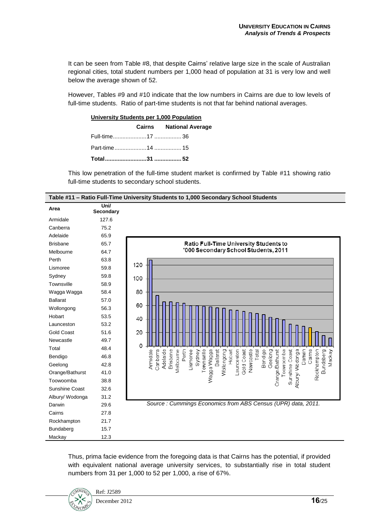It can be seen from Table #8, that despite Cairns' relative large size in the scale of Australian regional cities, total student numbers per 1,000 head of population at 31 is very low and well below the average shown of 52.

However, Tables #9 and #10 indicate that the low numbers in Cairns are due to low levels of full-time students. Ratio of part-time students is not that far behind national averages.

| University Students per 1,000 Population |  |                                |  |
|------------------------------------------|--|--------------------------------|--|
|                                          |  | <b>Cairns National Average</b> |  |
|                                          |  |                                |  |
|                                          |  |                                |  |
|                                          |  |                                |  |

This low penetration of the full-time student market is confirmed by Table #11 showing ratio full-time students to secondary school students.



Thus, prima facie evidence from the foregoing data is that Cairns has the potential, if provided with equivalent national average university services, to substantially rise in total student numbers from 31 per 1,000 to 52 per 1,000, a rise of 67%.

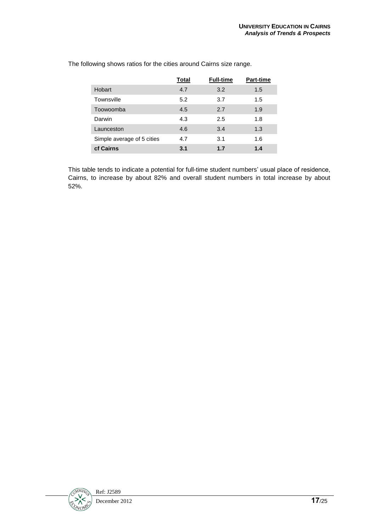|                            | Total | <b>Full-time</b> | <b>Part-time</b> |
|----------------------------|-------|------------------|------------------|
| Hobart                     | 4.7   | 3.2              | 1.5              |
| Townsville                 | 5.2   | 3.7              | 1.5              |
| Toowoomba                  | 4.5   | 2.7              | 1.9              |
| Darwin                     | 4.3   | 2.5              | 1.8              |
| Launceston                 | 4.6   | 3.4              | 1.3              |
| Simple average of 5 cities | 4.7   | 3.1              | 1.6              |
| cf Cairns                  | 3.1   | 1.7              | 1.4              |

The following shows ratios for the cities around Cairns size range.

This table tends to indicate a potential for full-time student numbers' usual place of residence, Cairns, to increase by about 82% and overall student numbers in total increase by about 52%.

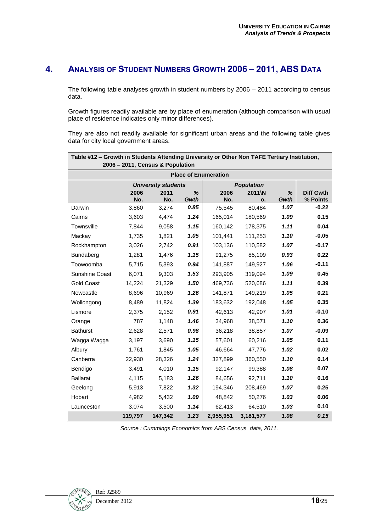## **4. ANALYSIS OF STUDENT NUMBERS GROWTH 2006 – 2011, ABS DATA**

The following table analyses growth in student numbers by 2006 – 2011 according to census data.

Growth figures readily available are by place of enumeration (although comparison with usual place of residence indicates only minor differences).

They are also not readily available for significant urban areas and the following table gives data for city local government areas.

| Table #12 - Growth in Students Attending University or Other Non TAFE Tertiary Institution,<br>2006 - 2011, Census & Population |                                                                      |                                    |      |                             |                             |      |                  |
|---------------------------------------------------------------------------------------------------------------------------------|----------------------------------------------------------------------|------------------------------------|------|-----------------------------|-----------------------------|------|------------------|
|                                                                                                                                 |                                                                      |                                    |      | <b>Place of Enumeration</b> |                             |      |                  |
|                                                                                                                                 |                                                                      |                                    |      |                             |                             |      |                  |
|                                                                                                                                 | 2006                                                                 | <b>University students</b><br>2011 | %    | 2006                        | <b>Population</b><br>2011\N | %    | <b>Diff Gwth</b> |
|                                                                                                                                 | No.                                                                  | No.                                | Gwth | No.                         | о.                          | Gwth | % Points         |
| Darwin                                                                                                                          | 3,860                                                                | 3,274                              | 0.85 | 75,545                      | 80,484                      | 1.07 | $-0.22$          |
| Cairns                                                                                                                          | 3,603                                                                | 4,474                              | 1.24 | 165,014                     | 180,569                     | 1.09 | 0.15             |
| Townsville                                                                                                                      | 7,844                                                                | 9,058                              | 1.15 | 160,142                     | 178,375                     | 1.11 | 0.04             |
| Mackay                                                                                                                          | 1,735                                                                | 1,821                              | 1.05 | 101,441                     | 111,253                     | 1.10 | $-0.05$          |
| Rockhampton                                                                                                                     | 3,026                                                                | 2,742                              | 0.91 | 103,136                     | 110,582                     | 1.07 | $-0.17$          |
| Bundaberg                                                                                                                       | 1,281                                                                | 1,476                              | 1.15 | 91,275                      | 85,109                      | 0.93 | 0.22             |
| Toowoomba                                                                                                                       | 5,715                                                                | 5,393                              | 0.94 | 141,887                     | 149,927                     | 1.06 | $-0.11$          |
| Sunshine Coast                                                                                                                  | 6,071                                                                | 9,303                              | 1.53 | 293,905                     | 319,094                     | 1.09 | 0.45             |
| <b>Gold Coast</b>                                                                                                               | 14,224                                                               | 21,329                             | 1.50 | 469,736                     | 520,686                     | 1.11 | 0.39             |
| Newcastle                                                                                                                       | 8,696                                                                | 10,969                             | 1.26 | 141,871                     | 149,219                     | 1.05 | 0.21             |
| Wollongong                                                                                                                      | 8,489                                                                | 11,824                             | 1.39 | 183,632                     | 192,048                     | 1.05 | 0.35             |
| Lismore                                                                                                                         | 2,375                                                                | 2,152                              | 0.91 | 42,613                      | 42,907                      | 1.01 | $-0.10$          |
| Orange                                                                                                                          | 787                                                                  | 1,148                              | 1.46 | 34,968                      | 38,571                      | 1.10 | 0.36             |
| <b>Bathurst</b>                                                                                                                 | 2,628                                                                | 2,571                              | 0.98 | 36,218                      | 38,857                      | 1.07 | $-0.09$          |
| Wagga Wagga                                                                                                                     | 3,197                                                                | 3,690                              | 1.15 | 57,601                      | 60,216                      | 1.05 | 0.11             |
| Albury                                                                                                                          | 1,761                                                                | 1,845                              | 1.05 | 46,664                      | 47,776                      | 1.02 | 0.02             |
| Canberra                                                                                                                        | 22,930                                                               | 28,326                             | 1.24 | 327,899                     | 360,550                     | 1.10 | 0.14             |
| Bendigo                                                                                                                         | 3,491                                                                | 4,010                              | 1.15 | 92,147                      | 99,388                      | 1.08 | 0.07             |
| <b>Ballarat</b>                                                                                                                 | 4,115                                                                | 5,183                              | 1.26 | 84,656                      | 92,711                      | 1.10 | 0.16             |
| Geelong                                                                                                                         | 5,913                                                                | 7,822                              | 1.32 | 194,346                     | 208,469                     | 1.07 | 0.25             |
| Hobart                                                                                                                          | 4,982                                                                | 5,432                              | 1.09 | 48,842                      | 50,276                      | 1.03 | 0.06             |
| Launceston                                                                                                                      | 3,074                                                                | 3,500                              | 1.14 | 62,413                      | 64,510                      | 1.03 | 0.10             |
|                                                                                                                                 | 1.23<br>147,342<br>2,955,951<br>1.08<br>0.15<br>119,797<br>3,181,577 |                                    |      |                             |                             |      |                  |

*Source : Cummings Economics from ABS Census data, 2011.*

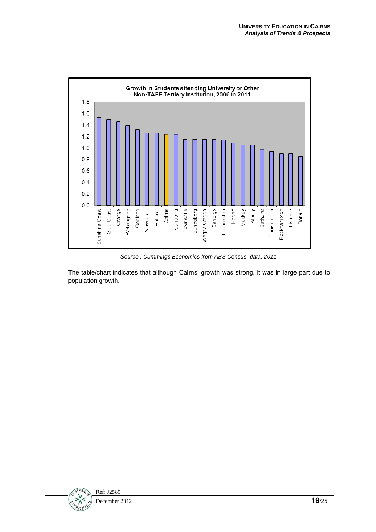

*Source : Cummings Economics from ABS Census data, 2011.*

The table/chart indicates that although Cairns' growth was strong, it was in large part due to population growth.

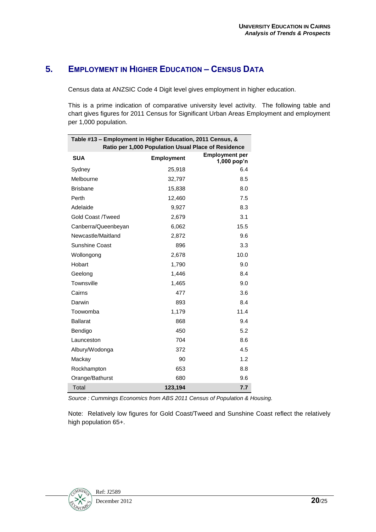## **5. EMPLOYMENT IN HIGHER EDUCATION – CENSUS DATA**

Census data at ANZSIC Code 4 Digit level gives employment in higher education.

This is a prime indication of comparative university level activity. The following table and chart gives figures for 2011 Census for Significant Urban Areas Employment and employment per 1,000 population.

| Table #13 - Employment in Higher Education, 2011 Census, & |                                                     |                                        |  |
|------------------------------------------------------------|-----------------------------------------------------|----------------------------------------|--|
|                                                            | Ratio per 1,000 Population Usual Place of Residence |                                        |  |
| <b>SUA</b>                                                 | <b>Employment</b>                                   | <b>Employment per</b><br>$1,000$ pop'n |  |
| Sydney                                                     | 25,918                                              | 6.4                                    |  |
| Melbourne                                                  | 32,797                                              | 8.5                                    |  |
| <b>Brisbane</b>                                            | 15,838                                              | 8.0                                    |  |
| Perth                                                      | 12,460                                              | 7.5                                    |  |
| Adelaide                                                   | 9,927                                               | 8.3                                    |  |
| <b>Gold Coast /Tweed</b>                                   | 2,679                                               | 3.1                                    |  |
| Canberra/Queenbeyan                                        | 6,062                                               | 15.5                                   |  |
| Newcastle/Maitland                                         | 2,872                                               | 9.6                                    |  |
| Sunshine Coast                                             | 896                                                 | 3.3                                    |  |
| Wollongong                                                 | 2,678                                               | 10.0                                   |  |
| Hobart                                                     | 1,790                                               | 9.0                                    |  |
| Geelong                                                    | 1,446                                               | 8.4                                    |  |
| Townsville                                                 | 1,465                                               | 9.0                                    |  |
| Cairns                                                     | 477                                                 | 3.6                                    |  |
| Darwin                                                     | 893                                                 | 8.4                                    |  |
| Toowomba                                                   | 1,179                                               | 11.4                                   |  |
| <b>Ballarat</b>                                            | 868                                                 | 9.4                                    |  |
| Bendigo                                                    | 450                                                 | 5.2                                    |  |
| Launceston                                                 | 704                                                 | 8.6                                    |  |
| Albury/Wodonga                                             | 372                                                 | 4.5                                    |  |
| Mackay                                                     | 90                                                  | 1.2                                    |  |
| Rockhampton                                                | 653                                                 | 8.8                                    |  |
| Orange/Bathurst                                            | 680                                                 | 9.6                                    |  |
| Total                                                      | 123,194                                             | 7.7                                    |  |

*Source : Cummings Economics from ABS 2011 Census of Population & Housing.*

Note: Relatively low figures for Gold Coast/Tweed and Sunshine Coast reflect the relatively high population 65+.

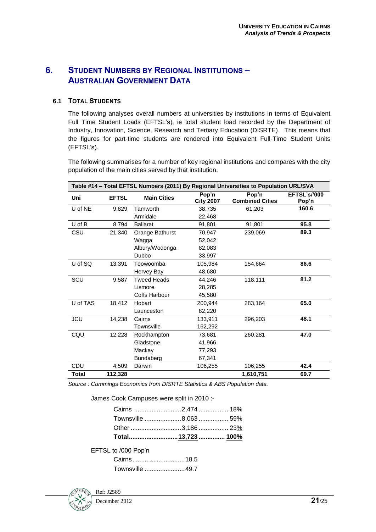## **6. STUDENT NUMBERS BY REGIONAL INSTITUTIONS – AUSTRALIAN GOVERNMENT DATA**

#### **6.1 TOTAL STUDENTS**

The following analyses overall numbers at universities by institutions in terms of Equivalent Full Time Student Loads (EFTSL's), ie total student load recorded by the Department of Industry, Innovation, Science, Research and Tertiary Education (DISRTE). This means that the figures for part-time students are rendered into Equivalent Full-Time Student Units (EFTSL's).

The following summarises for a number of key regional institutions and compares with the city population of the main cities served by that institution.

|            |              |                    |                           | Table #14 - Total EFTSL Numbers (2011) By Regional Universities to Population URL/SVA |                              |
|------------|--------------|--------------------|---------------------------|---------------------------------------------------------------------------------------|------------------------------|
| Uni        | <b>EFTSL</b> | <b>Main Cities</b> | Pop'n<br><b>City 2007</b> | Pop'n<br><b>Combined Cities</b>                                                       | <b>EFTSL's/'000</b><br>Pop'n |
| U of NE    | 9,829        | Tamworth           | 38,735                    | 61,203                                                                                | 160.6                        |
|            |              | Armidale           | 22,468                    |                                                                                       |                              |
| $U$ of $B$ | 8.794        | <b>Ballarat</b>    | 91,801                    | 91,801                                                                                | 95.8                         |
| CSU        | 21,340       | Orange Bathurst    | 70,947                    | 239,069                                                                               | 89.3                         |
|            |              | Wagga              | 52,042                    |                                                                                       |                              |
|            |              | Albury/Wodonga     | 82,083                    |                                                                                       |                              |
|            |              | <b>Dubbo</b>       | 33,997                    |                                                                                       |                              |
| U of SQ    | 13,391       | Toowoomba          | 105,984                   | 154,664                                                                               | 86.6                         |
|            |              | Hervey Bay         | 48,680                    |                                                                                       |                              |
| SCU        | 9,587        | <b>Tweed Heads</b> | 44,246                    | 118,111                                                                               | 81.2                         |
|            |              | Lismore            | 28,285                    |                                                                                       |                              |
|            |              | Coffs Harbour      | 45,580                    |                                                                                       |                              |
| U of TAS   | 18,412       | Hobart             | 200,944                   | 283,164                                                                               | 65.0                         |
|            |              | Launceston         | 82,220                    |                                                                                       |                              |
| <b>JCU</b> | 14,238       | Cairns             | 133,911                   | 296,203                                                                               | 48.1                         |
|            |              | Townsville         | 162,292                   |                                                                                       |                              |
| CQU        | 12,228       | Rockhampton        | 73,681                    | 260,281                                                                               | 47.0                         |
|            |              | Gladstone          | 41,966                    |                                                                                       |                              |
|            |              | Mackay             | 77,293                    |                                                                                       |                              |
|            |              | <b>Bundaberg</b>   | 67,341                    |                                                                                       |                              |
| CDU        | 4,509        | Darwin             | 106,255                   | 106,255                                                                               | 42.4                         |
| Total      | 112,328      |                    |                           | 1,610,751                                                                             | 69.7                         |

*Source : Cummings Economics from DISRTE Statistics & ABS Population data.*

James Cook Campuses were split in 2010 :-

| Cairns 2,474  18%     |  |
|-----------------------|--|
| Townsville 8,063  59% |  |
| Other 3,186  23%      |  |
| Total13,723  100%     |  |

EFTSL to /000 Pop'n

| Townsville 49.7 |  |
|-----------------|--|

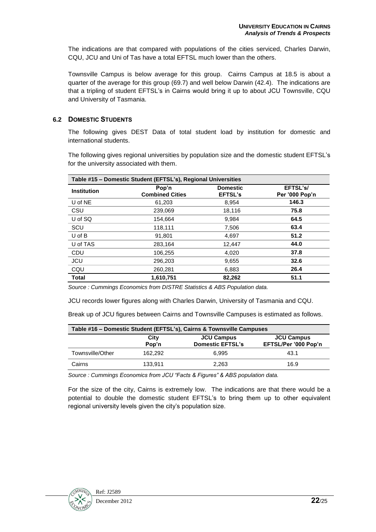The indications are that compared with populations of the cities serviced, Charles Darwin, CQU, JCU and Uni of Tas have a total EFTSL much lower than the others.

Townsville Campus is below average for this group. Cairns Campus at 18.5 is about a quarter of the average for this group (69.7) and well below Darwin (42.4). The indications are that a tripling of student EFTSL's in Cairns would bring it up to about JCU Townsville, CQU and University of Tasmania.

#### **6.2 DOMESTIC STUDENTS**

The following gives DEST Data of total student load by institution for domestic and international students.

The following gives regional universities by population size and the domestic student EFTSL's for the university associated with them.

| Table #15 - Domestic Student (EFTSL's), Regional Universities |                                 |                                   |                            |  |
|---------------------------------------------------------------|---------------------------------|-----------------------------------|----------------------------|--|
| <b>Institution</b>                                            | Pop'n<br><b>Combined Cities</b> | <b>Domestic</b><br><b>EFTSL's</b> | EFTSL's/<br>Per '000 Pop'n |  |
| U of $NE$                                                     | 61.203                          | 8,954                             | 146.3                      |  |
| CSU                                                           | 239.069                         | 18.116                            | 75.8                       |  |
| U of SQ                                                       | 154.664                         | 9.984                             | 64.5                       |  |
| SCU                                                           | 118,111                         | 7,506                             | 63.4                       |  |
| $U$ of $B$                                                    | 91,801                          | 4.697                             | 51.2                       |  |
| U of TAS                                                      | 283.164                         | 12,447                            | 44.0                       |  |
| CDU                                                           | 106,255                         | 4,020                             | 37.8                       |  |
| <b>JCU</b>                                                    | 296,203                         | 9,655                             | 32.6                       |  |
| CQU                                                           | 260,281                         | 6,883                             | 26.4                       |  |
| <b>Total</b>                                                  | 1,610,751                       | 82,262                            | 51.1                       |  |

*Source : Cummings Economics from DISTRE Statistics & ABS Population data.*

JCU records lower figures along with Charles Darwin, University of Tasmania and CQU.

Break up of JCU figures between Cairns and Townsville Campuses is estimated as follows.

| Table #16 - Domestic Student (EFTSL's), Cairns & Townsville Campuses |               |                                              |                                           |  |
|----------------------------------------------------------------------|---------------|----------------------------------------------|-------------------------------------------|--|
|                                                                      | City<br>Pop'n | <b>JCU Campus</b><br><b>Domestic EFTSL's</b> | <b>JCU Campus</b><br>EFTSL/Per '000 Pop'n |  |
| Townsville/Other                                                     | 162.292       | 6.995                                        | 43.1                                      |  |
| Cairns                                                               | 133.911       | 2.263                                        | 16.9                                      |  |

*Source : Cummings Economics from JCU "Facts & Figures" & ABS population data.*

For the size of the city, Cairns is extremely low. The indications are that there would be a potential to double the domestic student EFTSL's to bring them up to other equivalent regional university levels given the city's population size.

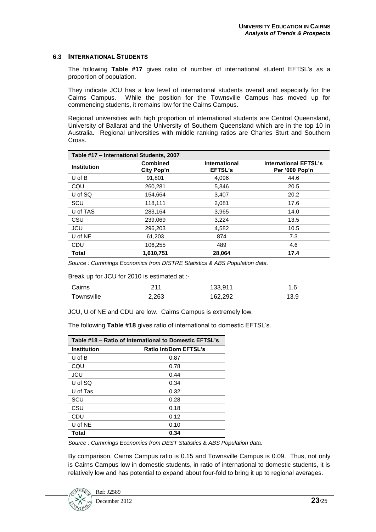#### **6.3 INTERNATIONAL STUDENTS**

The following **Table #17** gives ratio of number of international student EFTSL's as a proportion of population.

They indicate JCU has a low level of international students overall and especially for the Cairns Campus. While the position for the Townsville Campus has moved up for commencing students, it remains low for the Cairns Campus.

Regional universities with high proportion of international students are Central Queensland, University of Ballarat and the University of Southern Queensland which are in the top 10 in Australia. Regional universities with middle ranking ratios are Charles Sturt and Southern Cross.

| Table #17 - International Students, 2007 |                               |                                        |                                                |  |
|------------------------------------------|-------------------------------|----------------------------------------|------------------------------------------------|--|
| <b>Institution</b>                       | <b>Combined</b><br>City Pop'n | <b>International</b><br><b>EFTSL's</b> | <b>International EFTSL's</b><br>Per '000 Pop'n |  |
| $U$ of $B$                               | 91,801                        | 4,096                                  | 44.6                                           |  |
| CQU                                      | 260,281                       | 5,346                                  | 20.5                                           |  |
| U of SQ                                  | 154.664                       | 3,407                                  | 20.2                                           |  |
| SCU                                      | 118,111                       | 2,081                                  | 17.6                                           |  |
| U of TAS                                 | 283,164                       | 3,965                                  | 14.0                                           |  |
| CSU                                      | 239.069                       | 3,224                                  | 13.5                                           |  |
| JCU                                      | 296,203                       | 4,582                                  | 10.5                                           |  |
| U of NE                                  | 61,203                        | 874                                    | 7.3                                            |  |
| <b>CDU</b>                               | 106,255                       | 489                                    | 4.6                                            |  |
| <b>Total</b>                             | 1,610,751                     | 28,064                                 | 17.4                                           |  |

*Source : Cummings Economics from DISTRE Statistics & ABS Population data.*

Break up for JCU for 2010 is estimated at :-

| Cairns     | 211   | 133,911 | 1.6  |
|------------|-------|---------|------|
| Townsville | 2,263 | 162,292 | 13.9 |

JCU, U of NE and CDU are low. Cairns Campus is extremely low.

The following **Table #18** gives ratio of international to domestic EFTSL's.

| Table #18 – Ratio of International to Domestic EFTSL's |                              |  |
|--------------------------------------------------------|------------------------------|--|
| <b>Institution</b>                                     | <b>Ratio Int/Dom EFTSL's</b> |  |
| $U$ of $B$                                             | 0.87                         |  |
| CQU                                                    | 0.78                         |  |
| JCU                                                    | 0.44                         |  |
| U of SQ                                                | 0.34                         |  |
| U of Tas                                               | 0.32                         |  |
| SCU                                                    | 0.28                         |  |
| CSU                                                    | 0.18                         |  |
| CDU                                                    | 0.12                         |  |
| U of NE                                                | 0.10                         |  |
| Total                                                  | 0.34                         |  |

*Source : Cummings Economics from DEST Statistics & ABS Population data.*

By comparison, Cairns Campus ratio is 0.15 and Townsville Campus is 0.09. Thus, not only is Cairns Campus low in domestic students, in ratio of international to domestic students, it is relatively low and has potential to expand about four-fold to bring it up to regional averages.

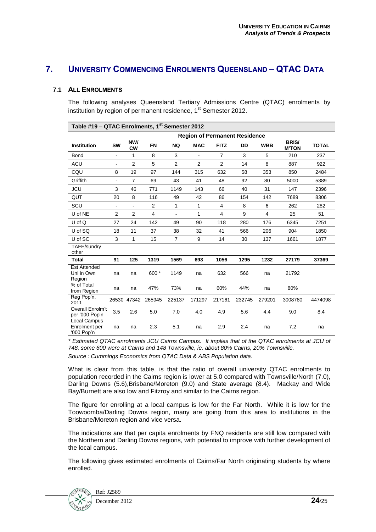## **7. UNIVERSITY COMMENCING ENROLMENTS QUEENSLAND – QTAC DATA**

#### **7.1 ALL ENROLMENTS**

The following analyses Queensland Tertiary Admissions Centre (QTAC) enrolments by institution by region of permanent residence, 1<sup>st</sup> Semester 2012.

| Table #19 - QTAC Enrolments, 1st Semester 2012 |                          |                  |           |                |                |                |           |            |                              |              |
|------------------------------------------------|--------------------------|------------------|-----------|----------------|----------------|----------------|-----------|------------|------------------------------|--------------|
| <b>Region of Permanent Residence</b>           |                          |                  |           |                |                |                |           |            |                              |              |
| <b>Institution</b>                             | <b>SW</b>                | NW/<br><b>CW</b> | <b>FN</b> | <b>NQ</b>      | <b>MAC</b>     | <b>FITZ</b>    | <b>DD</b> | <b>WBB</b> | <b>BRIS/</b><br><b>M'TON</b> | <b>TOTAL</b> |
| <b>Bond</b>                                    | $\blacksquare$           | 1                | 8         | 3              | $\frac{1}{2}$  | $\overline{7}$ | 3         | 5          | 210                          | 237          |
| <b>ACU</b>                                     | $\overline{\phantom{a}}$ | 2                | 5         | 2              | $\overline{2}$ | 2              | 14        | 8          | 887                          | 922          |
| CQU                                            | 8                        | 19               | 97        | 144            | 315            | 632            | 58        | 353        | 850                          | 2484         |
| Griffith                                       | $\blacksquare$           | $\overline{7}$   | 69        | 43             | 41             | 48             | 92        | 80         | 5000                         | 5389         |
| JCU                                            | 3                        | 46               | 771       | 1149           | 143            | 66             | 40        | 31         | 147                          | 2396         |
| QUT                                            | 20                       | 8                | 116       | 49             | 42             | 86             | 154       | 142        | 7689                         | 8306         |
| SCU                                            | $\overline{\phantom{a}}$ | $\blacksquare$   | 2         | 1              | $\mathbf{1}$   | 4              | 8         | 6          | 262                          | 282          |
| U of NE                                        | 2                        | 2                | 4         | $\blacksquare$ | 1              | $\overline{4}$ | 9         | 4          | 25                           | 51           |
| U of Q                                         | 27                       | 24               | 142       | 49             | 90             | 118            | 280       | 176        | 6345                         | 7251         |
| U of SQ                                        | 18                       | 11               | 37        | 38             | 32             | 41             | 566       | 206        | 904                          | 1850         |
| U of SC                                        | 3                        | $\mathbf{1}$     | 15        | $\overline{7}$ | 9              | 14             | 30        | 137        | 1661                         | 1877         |
| TAFE/sundry<br>other                           |                          |                  |           |                |                |                |           |            |                              |              |
| <b>Total</b>                                   | 91                       | 125              | 1319      | 1569           | 693            | 1056           | 1295      | 1232       | 27179                        | 37369        |
| <b>Est Attended</b><br>Uni in Own<br>Region    | na                       | na               | 600*      | 1149           | na             | 632            | 566       | na         | 21792                        |              |
| % of Total<br>from Region                      | na                       | na               | 47%       | 73%            | na             | 60%            | 44%       | na         | 80%                          |              |
| Reg Pop'n,<br>2011                             |                          | 26530 47342      | 265945    | 225137         | 171297         | 217161         | 232745    | 279201     | 3008780                      | 4474098      |
| Overall Enrolm't<br>per '000 Pop'n             | 3.5                      | 2.6              | 5.0       | 7.0            | 4.0            | 4.9            | 5.6       | 4.4        | 9.0                          | 8.4          |
| Local Campus<br>Enrolment per<br>'000 Pop'n    | na                       | na               | 2.3       | 5.1            | na             | 2.9            | 2.4       | na         | 7.2                          | na           |

*\* Estimated QTAC enrolments JCU Cairns Campus. It implies that of the QTAC enrolments at JCU of 748, some 600 were at Cairns and 148 Townsville, ie. about 80% Cairns, 20% Townsville.*

*Source : Cummings Economics from QTAC Data & ABS Population data.*

What is clear from this table, is that the ratio of overall university QTAC enrolments to population recorded in the Cairns region is lower at 5.0 compared with Townsville/North (7.0), Darling Downs (5.6),Brisbane/Moreton (9.0) and State average (8.4). Mackay and Wide Bay/Burnett are also low and Fitzroy and similar to the Cairns region.

The figure for enrolling at a local campus is low for the Far North. While it is low for the Toowoomba/Darling Downs region, many are going from this area to institutions in the Brisbane/Moreton region and vice versa.

The indications are that per capita enrolments by FNQ residents are still low compared with the Northern and Darling Downs regions, with potential to improve with further development of the local campus.

The following gives estimated enrolments of Cairns/Far North originating students by where enrolled.